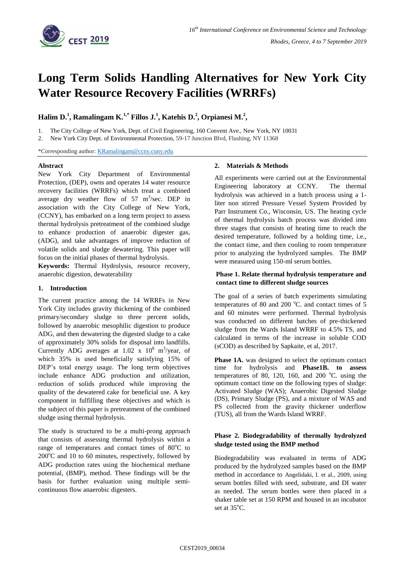

# **Long Term Solids Handling Alternatives for New York City Water Resource Recovery Facilities (WRRFs)**

**Halim D. 1 , Ramalingam K.1,\* Fillos J. 1 , Katehis D.<sup>2</sup> , Orpianesi M.<sup>2</sup> ,**

1. The City College of New York, Dept. of Civil Engineering, 160 Convent Ave., New York, NY 10031

2. New York City Dept. of Environmental Protection, 59-17 Junction Blvd, Flushing, NY 11368

\*Corresponding author[: KRamalingam@ccny.cuny.edu](mailto:KRamalingam@ccny.cuny.edu)

### **Abstract**

New York City Department of Environmental Protection, (DEP), owns and operates 14 water resource recovery facilities (WRRFs) which treat a combined average dry weather flow of  $57 \text{ m}^3/\text{sec}$ . DEP in association with the City College of New York, (CCNY), has embarked on a long term project to assess thermal hydrolysis pretreatment of the combined sludge to enhance production of anaerobic digester gas, (ADG), and take advantages of improve reduction of volatile solids and sludge dewatering. This paper will focus on the initial phases of thermal hydrolysis.

**Keywords:** Thermal Hydrolysis, resource recovery, anaerobic digestion, dewaterability

# **1. Introduction**

The current practice among the 14 WRRFs in New York City includes gravity thickening of the combined primary/secondary sludge to three percent solids, followed by anaerobic mesophilic digestion to produce ADG, and then dewatering the digested sludge to a cake of approximately 30% solids for disposal into landfills. Currently ADG averages at 1.02 x  $10^8$  m<sup>3</sup>/year, of which 35% is used beneficially satisfying 15% of DEP's total energy usage. The long term objectives include enhance ADG production and utilization, reduction of solids produced while improving the quality of the dewatered cake for beneficial use. A key component in fulfilling these objectives and which is the subject of this paper is pretreatment of the combined sludge using thermal hydrolysis.

The study is structured to be a multi-prong approach that consists of assessing thermal hydrolysis within a range of temperatures and contact times of  $80^{\circ}$ C to  $200^{\circ}$ C and 10 to 60 minutes, respectively, followed by ADG production rates using the biochemical methane potential, (BMP), method. These findings will be the basis for further evaluation using multiple semicontinuous flow anaerobic digesters.

### **2. Materials & Methods**

All experiments were carried out at the Environmental Engineering laboratory at CCNY. The thermal hydrolysis was achieved in a batch process using a 1 liter non stirred Pressure Vessel System Provided by Parr Instrument Co., Wisconsin, US. The heating cycle of thermal hydrolysis batch process was divided into three stages that consists of heating time to reach the desired temperature, followed by a holding time, i.e., the contact time, and then cooling to room temperature prior to analyzing the hydrolyzed samples. The BMP were measured using 150-ml serum bottles.

# **Phase 1. Relate thermal hydrolysis temperature and contact time to different sludge sources**

The goal of a series of batch experiments simulating temperatures of 80 and 200 $^{\circ}$ C. and contact times of 5 and 60 minutes were performed. Thermal hydrolysis was conducted on different batches of pre-thickened sludge from the Wards Island WRRF to 4.5% TS, and calculated in terms of the increase in soluble COD (sCOD) as described by Sapkaite, et al, 2017.

**Phase 1A.** was designed to select the optimum contact time for hydrolysis and **Phase1B. to assess**  temperatures of 80, 120, 160, and 200  $^{\circ}$ C. using the optimum contact time on the following types of sludge: Activated Sludge (WAS); Anaerobic Digested Sludge (DS), Primary Sludge (PS), and a mixture of WAS and PS collected from the gravity thickener underflow (TUS), all from the Wards Island WRRF.

# **Phase 2. Biodegradability of thermally hydrolyzed sludge tested using the BMP method**

Biodegradability was evaluated in terms of ADG produced by the hydrolyzed samples based on the BMP method in accordance to Angelidaki, I. et al., 2009, using serum bottles filled with seed, substrate, and DI water as needed. The serum bottles were then placed in a shaker table set at 150 RPM and housed in an incubator set at 35°C.